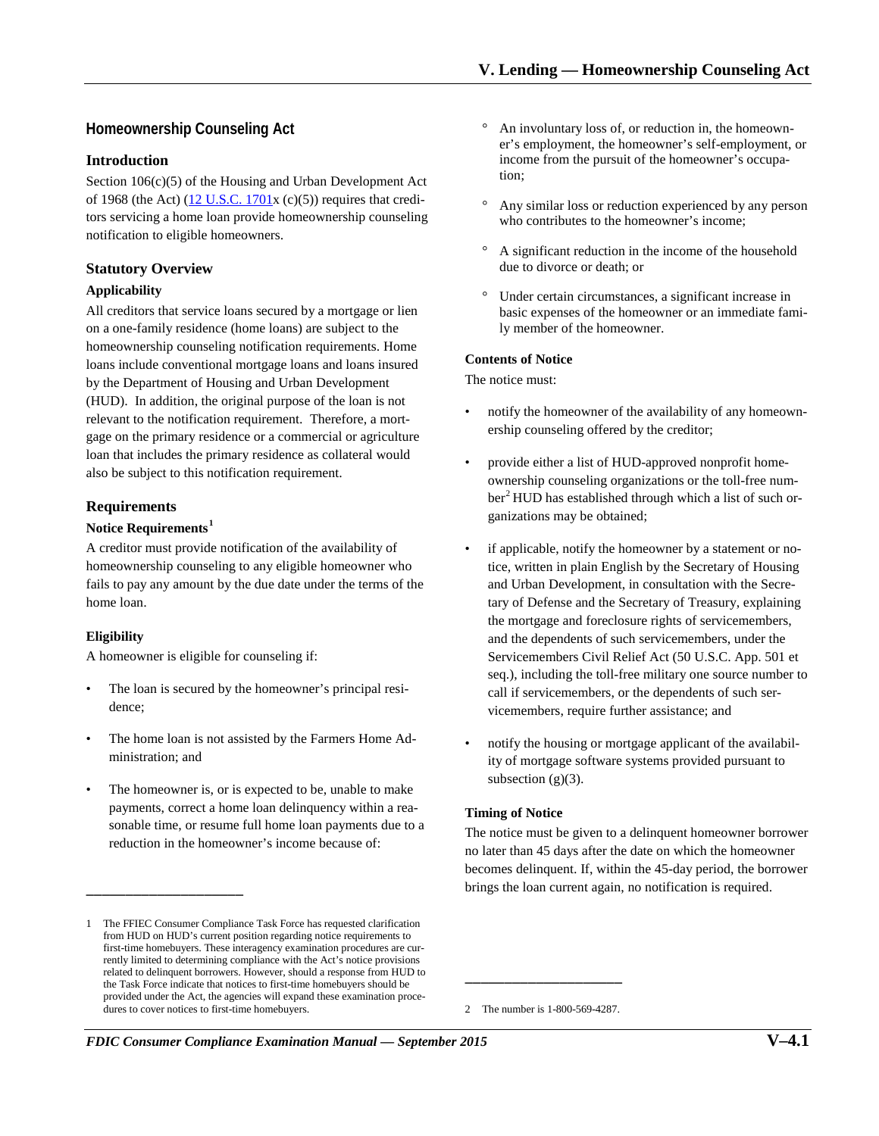# **Homeownership Counseling Act**

### **Introduction**

Section 106(c)(5) of the Housing and Urban Development Act of 1968 (the Act)  $(12 \text{ U.S.C. } 1701 \text{ x } (c)(5))$  requires that creditors servicing a home loan provide homeownership counseling notification to eligible homeowners.

## **Statutory Overview**

### **Applicability**

All creditors that service loans secured by a mortgage or lien on a one-family residence (home loans) are subject to the homeownership counseling notification requirements. Home loans include conventional mortgage loans and loans insured by the Department of Housing and Urban Development (HUD). In addition, the original purpose of the loan is not relevant to the notification requirement. Therefore, a mortgage on the primary residence or a commercial or agriculture loan that includes the primary residence as collateral would also be subject to this notification requirement.

## **Requirements**

### **Notice Requirements[1](#page-0-0)**

A creditor must provide notification of the availability of homeownership counseling to any eligible homeowner who fails to pay any amount by the due date under the terms of the home loan.

### **Eligibility**

A homeowner is eligible for counseling if:

\_\_\_\_\_\_\_\_\_\_\_\_\_\_\_\_\_\_\_\_

- The loan is secured by the homeowner's principal residence;
- The home loan is not assisted by the Farmers Home Administration; and
- The homeowner is, or is expected to be, unable to make payments, correct a home loan delinquency within a reasonable time, or resume full home loan payments due to a reduction in the homeowner's income because of:
- An involuntary loss of, or reduction in, the homeowner's employment, the homeowner's self-employment, or income from the pursuit of the homeowner's occupation;
- Any similar loss or reduction experienced by any person who contributes to the homeowner's income;
- A significant reduction in the income of the household due to divorce or death; or
- Under certain circumstances, a significant increase in basic expenses of the homeowner or an immediate family member of the homeowner.

#### **Contents of Notice**

The notice must:

- notify the homeowner of the availability of any homeownership counseling offered by the creditor;
- provide either a list of HUD-approved nonprofit homeownership counseling organizations or the toll-free num-ber<sup>[2](#page-0-1)</sup> HUD has established through which a list of such organizations may be obtained;
- if applicable, notify the homeowner by a statement or notice, written in plain English by the Secretary of Housing and Urban Development, in consultation with the Secretary of Defense and the Secretary of Treasury, explaining the mortgage and foreclosure rights of servicemembers, and the dependents of such servicemembers, under the Servicemembers Civil Relief Act (50 U.S.C. App. 501 et seq.), including the toll-free military one source number to call if servicemembers, or the dependents of such servicemembers, require further assistance; and
- notify the housing or mortgage applicant of the availability of mortgage software systems provided pursuant to subsection  $(g)(3)$ .

### **Timing of Notice**

The notice must be given to a delinquent homeowner borrower no later than 45 days after the date on which the homeowner becomes delinquent. If, within the 45-day period, the borrower brings the loan current again, no notification is required.

2 The number is 1-800-569-4287.

\_\_\_\_\_\_\_\_\_\_\_\_\_\_\_\_\_\_\_\_

<span id="page-0-1"></span><span id="page-0-0"></span><sup>1</sup> The FFIEC Consumer Compliance Task Force has requested clarification from HUD on HUD's current position regarding notice requirements to first-time homebuyers. These interagency examination procedures are currently limited to determining compliance with the Act's notice provisions related to delinquent borrowers. However, should a response from HUD to the Task Force indicate that notices to first-time homebuyers should be provided under the Act, the agencies will expand these examination procedures to cover notices to first-time homebuyers.